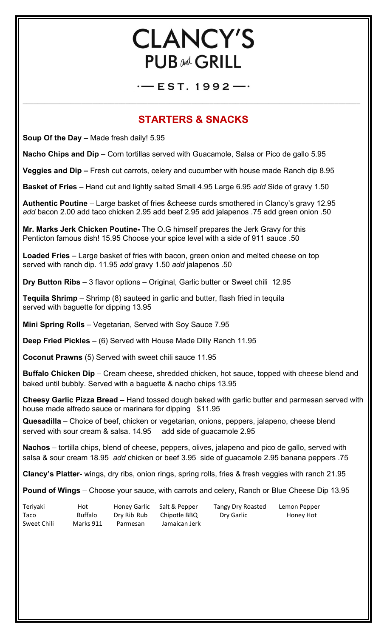# **CLANCY'S PUB and GRILL**

 $-$  EST. 1992-

\_\_\_\_\_\_\_\_\_\_\_\_\_\_\_\_\_\_\_\_\_\_\_\_\_\_\_\_\_\_\_\_\_\_\_\_\_\_\_\_\_\_\_\_\_\_\_\_\_\_\_\_\_\_\_\_\_\_\_\_\_\_\_\_\_\_\_\_\_\_\_\_\_\_\_\_\_\_\_\_\_\_\_\_\_\_\_\_\_\_\_\_

# **STARTERS & SNACKS**

**Soup Of the Day** – Made fresh daily! 5.95

**Nacho Chips and Dip** – Corn tortillas served with Guacamole, Salsa or Pico de gallo 5.95

**Veggies and Dip –** Fresh cut carrots, celery and cucumber with house made Ranch dip 8.95

**Basket of Fries** – Hand cut and lightly salted Small 4.95 Large 6.95 *add* Side of gravy 1.50

**Authentic Poutine** – Large basket of fries &cheese curds smothered in Clancy's gravy 12.95 *add* bacon 2.00 add taco chicken 2.95 add beef 2.95 add jalapenos .75 add green onion .50

**Mr. Marks Jerk Chicken Poutine-** The O.G himself prepares the Jerk Gravy for this Penticton famous dish! 15.95 Choose your spice level with a side of 911 sauce .50

**Loaded Fries** – Large basket of fries with bacon, green onion and melted cheese on top served with ranch dip. 11.95 *add* gravy 1.50 *add* jalapenos .50

**Dry Button Ribs** – 3 flavor options – Original, Garlic butter or Sweet chili 12.95

**Tequila Shrimp** – Shrimp (8) sauteed in garlic and butter, flash fried in tequila served with baguette for dipping 13.95

**Mini Spring Rolls** – Vegetarian, Served with Soy Sauce 7.95

**Deep Fried Pickles** – (6) Served with House Made Dilly Ranch 11.95

**Coconut Prawns** (5) Served with sweet chili sauce 11.95

**Buffalo Chicken Dip** – Cream cheese, shredded chicken, hot sauce, topped with cheese blend and baked until bubbly. Served with a baguette & nacho chips 13.95

**Cheesy Garlic Pizza Bread –** Hand tossed dough baked with garlic butter and parmesan served with house made alfredo sauce or marinara for dipping \$11.95

**Quesadilla** – Choice of beef, chicken or vegetarian, onions, peppers, jalapeno, cheese blend served with sour cream & salsa. 14.95 add side of guacamole 2.95

**Nachos** – tortilla chips, blend of cheese, peppers, olives, jalapeno and pico de gallo, served with salsa & sour cream 18.95 *add* chicken or beef 3.95 side of guacamole 2.95 banana peppers .75

**Clancy's Platter**- wings, dry ribs, onion rings, spring rolls, fries & fresh veggies with ranch 21.95

**Pound of Wings** – Choose your sauce, with carrots and celery, Ranch or Blue Cheese Dip 13.95

| Teriyaki    | Hot            | Honey Garlic | Salt & Pepper | <b>Tangy Dry Roasted</b> | Lemon Pepper |
|-------------|----------------|--------------|---------------|--------------------------|--------------|
| Taco        | <b>Buffalo</b> | Dry Rib Rub  | Chipotle BBQ  | Dry Garlic               | Honey Hot    |
| Sweet Chili | Marks 911      | Parmesan     | Jamaican Jerk |                          |              |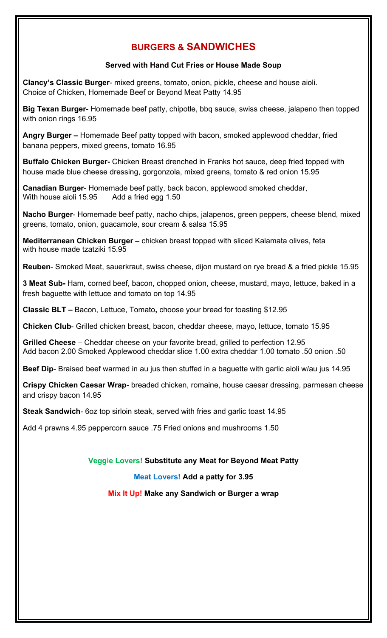## **BURGERS & SANDWICHES**

#### **Served with Hand Cut Fries or House Made Soup**

**Clancy's Classic Burger**- mixed greens, tomato, onion, pickle, cheese and house aioli. Choice of Chicken, Homemade Beef or Beyond Meat Patty 14.95

**Big Texan Burger**- Homemade beef patty, chipotle, bbq sauce, swiss cheese, jalapeno then topped with onion rings 16.95

**Angry Burger –** Homemade Beef patty topped with bacon, smoked applewood cheddar, fried banana peppers, mixed greens, tomato 16.95

**Buffalo Chicken Burger-** Chicken Breast drenched in Franks hot sauce, deep fried topped with house made blue cheese dressing, gorgonzola, mixed greens, tomato & red onion 15.95

**Canadian Burger**- Homemade beef patty, back bacon, applewood smoked cheddar, With house aioli 15.95 Add a fried egg 1.50

**Nacho Burger**- Homemade beef patty, nacho chips, jalapenos, green peppers, cheese blend, mixed greens, tomato, onion, guacamole, sour cream & salsa 15.95

**Mediterranean Chicken Burger –** chicken breast topped with sliced Kalamata olives, feta with house made tzatziki 15.95

**Reuben**- Smoked Meat, sauerkraut, swiss cheese, dijon mustard on rye bread & a fried pickle 15.95

**3 Meat Sub-** Ham, corned beef, bacon, chopped onion, cheese, mustard, mayo, lettuce, baked in a fresh baguette with lettuce and tomato on top 14.95

**Classic BLT –** Bacon, Lettuce, Tomato**,** choose your bread for toasting \$12.95

**Chicken Club**- Grilled chicken breast, bacon, cheddar cheese, mayo, lettuce, tomato 15.95

**Grilled Cheese** – Cheddar cheese on your favorite bread, grilled to perfection 12.95 Add bacon 2.00 Smoked Applewood cheddar slice 1.00 extra cheddar 1.00 tomato .50 onion .50

**Beef Dip**- Braised beef warmed in au jus then stuffed in a baguette with garlic aioli w/au jus 14.95

**Crispy Chicken Caesar Wrap**- breaded chicken, romaine, house caesar dressing, parmesan cheese and crispy bacon 14.95

**Steak Sandwich**- 6oz top sirloin steak, served with fries and garlic toast 14.95

Add 4 prawns 4.95 peppercorn sauce .75 Fried onions and mushrooms 1.50

**Veggie Lovers! Substitute any Meat for Beyond Meat Patty**

**Meat Lovers! Add a patty for 3.95**

**Mix It Up! Make any Sandwich or Burger a wrap**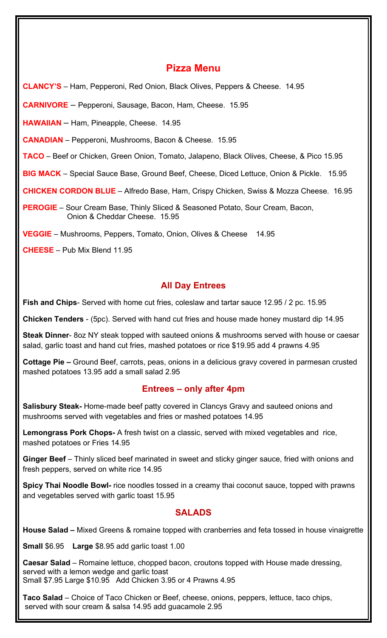### **Pizza Menu**

**CLANCY'S** – Ham, Pepperoni, Red Onion, Black Olives, Peppers & Cheese. 14.95

**CARNIVORE** – Pepperoni, Sausage, Bacon, Ham, Cheese. 15.95

**HAWAIIAN** – Ham, Pineapple, Cheese. 14.95

**CANADIAN** – Pepperoni, Mushrooms, Bacon & Cheese. 15.95

**TACO** – Beef or Chicken, Green Onion, Tomato, Jalapeno, Black Olives, Cheese, & Pico 15.95

**BIG MACK** – Special Sauce Base, Ground Beef, Cheese, Diced Lettuce, Onion & Pickle. 15.95

**CHICKEN CORDON BLUE** – Alfredo Base, Ham, Crispy Chicken, Swiss & Mozza Cheese. 16.95

**PEROGIE** – Sour Cream Base, Thinly Sliced & Seasoned Potato, Sour Cream, Bacon, Onion & Cheddar Cheese. 15.95

**VEGGIE** – Mushrooms, Peppers, Tomato, Onion, Olives & Cheese 14.95

**CHEESE** – Pub Mix Blend 11.95

#### **All Day Entrees**

**Fish and Chips**- Served with home cut fries, coleslaw and tartar sauce 12.95 / 2 pc. 15.95

**Chicken Tenders** - (5pc). Served with hand cut fries and house made honey mustard dip 14.95

**Steak Dinner**- 8oz NY steak topped with sauteed onions & mushrooms served with house or caesar salad, garlic toast and hand cut fries, mashed potatoes or rice \$19.95 add 4 prawns 4.95

**Cottage Pie –** Ground Beef, carrots, peas, onions in a delicious gravy covered in parmesan crusted mashed potatoes 13.95 add a small salad 2.95

#### **Entrees – only after 4pm**

**Salisbury Steak-** Home-made beef patty covered in Clancys Gravy and sauteed onions and mushrooms served with vegetables and fries or mashed potatoes 14.95

**Lemongrass Pork Chops-** A fresh twist on a classic, served with mixed vegetables and rice, mashed potatoes or Fries 14.95

**Ginger Beef** – Thinly sliced beef marinated in sweet and sticky ginger sauce, fried with onions and fresh peppers, served on white rice 14.95

**Spicy Thai Noodle Bowl-** rice noodles tossed in a creamy thai coconut sauce, topped with prawns and vegetables served with garlic toast 15.95

#### **SALADS**

**House Salad –** Mixed Greens & romaine topped with cranberries and feta tossed in house vinaigrette

**Small** \$6.95 **Large** \$8.95 add garlic toast 1.00

**Caesar Salad** – Romaine lettuce, chopped bacon, croutons topped with House made dressing, served with a lemon wedge and garlic toast Small \$7.95 Large \$10.95 Add Chicken 3.95 or 4 Prawns 4.95

**Taco Salad** – Choice of Taco Chicken or Beef, cheese, onions, peppers, lettuce, taco chips, served with sour cream & salsa 14.95 add guacamole 2.95